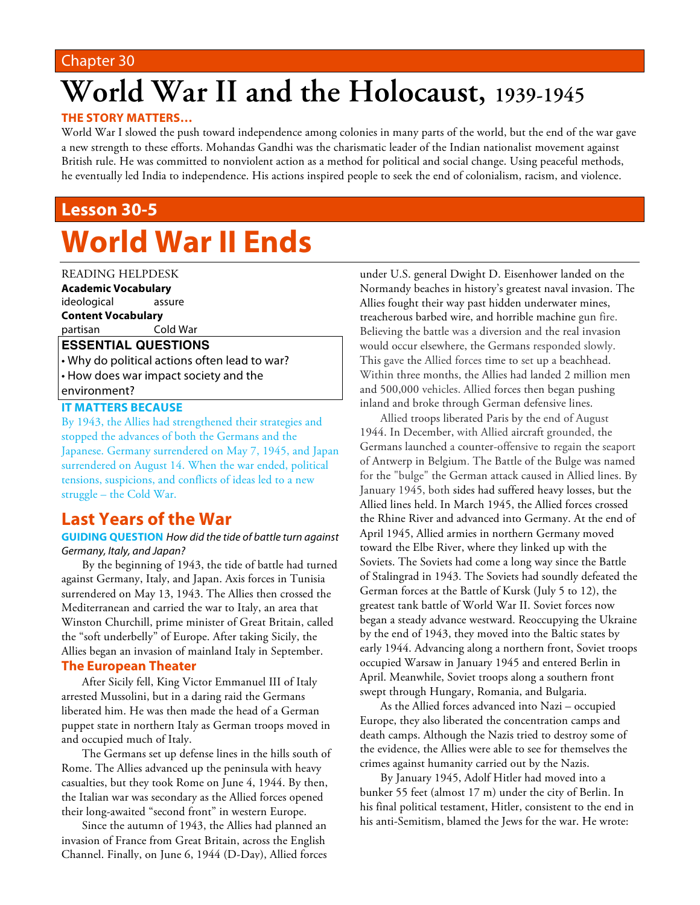### Chapter 30

# **World War II and the Holocaust, 1939-1945**

### **THE STORY MATTERS…**

World War I slowed the push toward independence among colonies in many parts of the world, but the end of the war gave a new strength to these efforts. Mohandas Gandhi was the charismatic leader of the Indian nationalist movement against British rule. He was committed to nonviolent action as a method for political and social change. Using peaceful methods, he eventually led India to independence. His actions inspired people to seek the end of colonialism, racism, and violence.

## **Lesson 30-5**

# **World War II Ends**

#### READING HELPDESK

**Academic Vocabulary** ideological assure **Content Vocabulary**

partisan Cold War

#### **ESSENTIAL QUESTIONS**

• Why do political actions often lead to war? • How does war impact society and the environment?

#### **IT MATTERS BECAUSE**

By 1943, the Allies had strengthened their strategies and stopped the advances of both the Germans and the Japanese. Germany surrendered on May 7, 1945, and Japan surrendered on August 14. When the war ended, political tensions, suspicions, and conflicts of ideas led to a new struggle – the Cold War.

# **Last Years of the War**

#### **GUIDING QUESTION** *How did the tide of battle turn against Germany, Italy, and Japan?*

By the beginning of 1943, the tide of battle had turned against Germany, Italy, and Japan. Axis forces in Tunisia surrendered on May 13, 1943. The Allies then crossed the Mediterranean and carried the war to Italy, an area that Winston Churchill, prime minister of Great Britain, called the "soft underbelly" of Europe. After taking Sicily, the Allies began an invasion of mainland Italy in September.

#### **The European Theater**

After Sicily fell, King Victor Emmanuel III of Italy arrested Mussolini, but in a daring raid the Germans liberated him. He was then made the head of a German puppet state in northern Italy as German troops moved in and occupied much of Italy.

The Germans set up defense lines in the hills south of Rome. The Allies advanced up the peninsula with heavy casualties, but they took Rome on June 4, 1944. By then, the Italian war was secondary as the Allied forces opened their long-awaited "second front" in western Europe.

Since the autumn of 1943, the Allies had planned an invasion of France from Great Britain, across the English Channel. Finally, on June 6, 1944 (D-Day), Allied forces under U.S. general Dwight D. Eisenhower landed on the Normandy beaches in history's greatest naval invasion. The Allies fought their way past hidden underwater mines, treacherous barbed wire, and horrible machine gun fire. Believing the battle was a diversion and the real invasion would occur elsewhere, the Germans responded slowly. This gave the Allied forces time to set up a beachhead. Within three months, the Allies had landed 2 million men and 500,000 vehicles. Allied forces then began pushing inland and broke through German defensive lines.

Allied troops liberated Paris by the end of August 1944. In December, with Allied aircraft grounded, the Germans launched a counter-offensive to regain the seaport of Antwerp in Belgium. The Battle of the Bulge was named for the "bulge" the German attack caused in Allied lines. By January 1945, both sides had suffered heavy losses, but the Allied lines held. In March 1945, the Allied forces crossed the Rhine River and advanced into Germany. At the end of April 1945, Allied armies in northern Germany moved toward the Elbe River, where they linked up with the Soviets. The Soviets had come a long way since the Battle of Stalingrad in 1943. The Soviets had soundly defeated the German forces at the Battle of Kursk (July 5 to 12), the greatest tank battle of World War II. Soviet forces now began a steady advance westward. Reoccupying the Ukraine by the end of 1943, they moved into the Baltic states by early 1944. Advancing along a northern front, Soviet troops occupied Warsaw in January 1945 and entered Berlin in April. Meanwhile, Soviet troops along a southern front swept through Hungary, Romania, and Bulgaria.

As the Allied forces advanced into Nazi – occupied Europe, they also liberated the concentration camps and death camps. Although the Nazis tried to destroy some of the evidence, the Allies were able to see for themselves the crimes against humanity carried out by the Nazis.

By January 1945, Adolf Hitler had moved into a bunker 55 feet (almost 17 m) under the city of Berlin. In his final political testament, Hitler, consistent to the end in his anti-Semitism, blamed the Jews for the war. He wrote: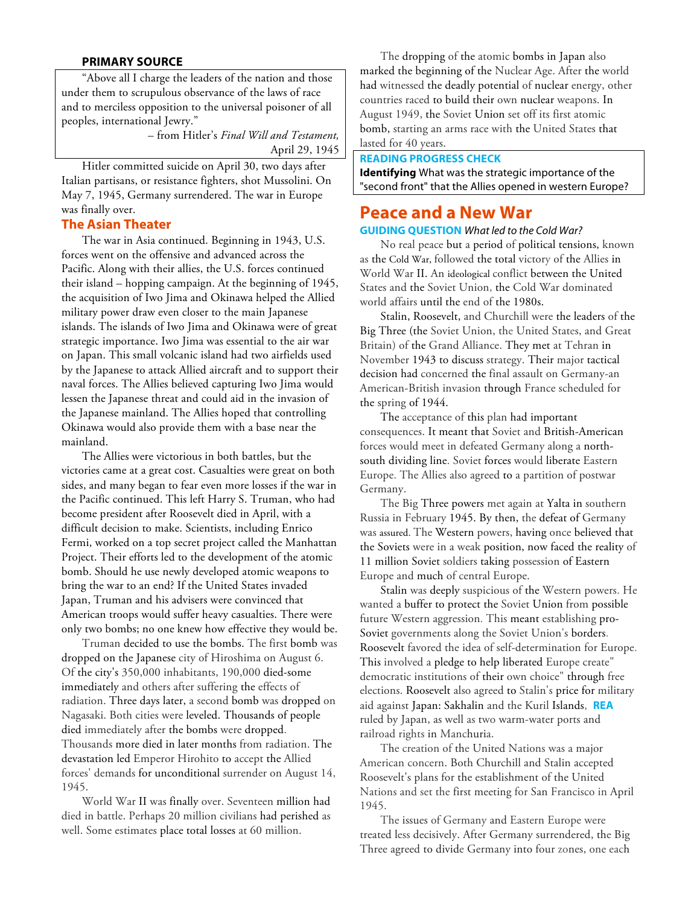#### **PRIMARY SOURCE**

"Above all I charge the leaders of the nation and those under them to scrupulous observance of the laws of race and to merciless opposition to the universal poisoner of all peoples, international Jewry."

> – from Hitler's *Final Will and Testament,* April 29, 1945

Hitler committed suicide on April 30, two days after Italian partisans, or resistance fighters, shot Mussolini. On May 7, 1945, Germany surrendered. The war in Europe was finally over.

#### **The Asian Theater**

The war in Asia continued. Beginning in 1943, U.S. forces went on the offensive and advanced across the Pacific. Along with their allies, the U.S. forces continued their island – hopping campaign. At the beginning of 1945, the acquisition of Iwo Jima and Okinawa helped the Allied military power draw even closer to the main Japanese islands. The islands of Iwo Jima and Okinawa were of great strategic importance. Iwo Jima was essential to the air war on Japan. This small volcanic island had two airfields used by the Japanese to attack Allied aircraft and to support their naval forces. The Allies believed capturing Iwo Jima would lessen the Japanese threat and could aid in the invasion of the Japanese mainland. The Allies hoped that controlling Okinawa would also provide them with a base near the mainland.

The Allies were victorious in both battles, but the victories came at a great cost. Casualties were great on both sides, and many began to fear even more losses if the war in the Pacific continued. This left Harry S. Truman, who had become president after Roosevelt died in April, with a difficult decision to make. Scientists, including Enrico Fermi, worked on a top secret project called the Manhattan Project. Their efforts led to the development of the atomic bomb. Should he use newly developed atomic weapons to bring the war to an end? If the United States invaded Japan, Truman and his advisers were convinced that American troops would suffer heavy casualties. There were only two bombs; no one knew how effective they would be.

Truman decided to use the bombs. The first bomb was dropped on the Japanese city of Hiroshima on August 6. Of the city's 350,000 inhabitants, 190,000 died-some immediately and others after suffering the effects of radiation. Three days later, a second bomb was dropped on Nagasaki. Both cities were leveled. Thousands of people died immediately after the bombs were dropped. Thousands more died in later months from radiation. The devastation led Emperor Hirohito to accept the Allied forces' demands for unconditional surrender on August 14, 1945.

World War II was finally over. Seventeen million had died in battle. Perhaps 20 million civilians had perished as well. Some estimates place total losses at 60 million.

The dropping of the atomic bombs in Japan also marked the beginning of the Nuclear Age. After the world had witnessed the deadly potential of nuclear energy, other countries raced to build their own nuclear weapons. In August 1949, the Soviet Union set off its first atomic bomb, starting an arms race with the United States that lasted for 40 years.

#### **READING PROGRESS CHECK**

**Identifying** What was the strategic importance of the "second front" that the Allies opened in western Europe?

## **Peace and a New War**

#### **GUIDING QUESTION** *What led to the Cold War?*

No real peace but a period of political tensions, known as the Cold War, followed the total victory of the Allies in World War II. An ideological conflict between the United States and the Soviet Union, the Cold War dominated world affairs until the end of the 1980s.

Stalin, Roosevelt, and Churchill were the leaders of the Big Three (the Soviet Union, the United States, and Great Britain) of the Grand Alliance. They met at Tehran in November 1943 to discuss strategy. Their major tactical decision had concerned the final assault on Germany-an American-British invasion through France scheduled for the spring of 1944.

The acceptance of this plan had important consequences. It meant that Soviet and British-American forces would meet in defeated Germany along a northsouth dividing line. Soviet forces would liberate Eastern Europe. The Allies also agreed to a partition of postwar Germany.

The Big Three powers met again at Yalta in southern Russia in February 1945. By then, the defeat of Germany was assured. The Western powers, having once believed that the Soviets were in a weak position, now faced the reality of 11 million Soviet soldiers taking possession of Eastern Europe and much of central Europe.

Stalin was deeply suspicious of the Western powers. He wanted a buffer to protect the Soviet Union from possible future Western aggression. This meant establishing pro-Soviet governments along the Soviet Union's borders. Roosevelt favored the idea of self-determination for Europe. This involved a pledge to help liberated Europe create" democratic institutions of their own choice" through free elections. Roosevelt also agreed to Stalin's price for military aid against Japan: Sakhalin and the Kuril Islands, **REA** ruled by Japan, as well as two warm-water ports and railroad rights in Manchuria.

The creation of the United Nations was a major American concern. Both Churchill and Stalin accepted Roosevelt's plans for the establishment of the United Nations and set the first meeting for San Francisco in April 1945.

The issues of Germany and Eastern Europe were treated less decisively. After Germany surrendered, the Big Three agreed to divide Germany into four zones, one each